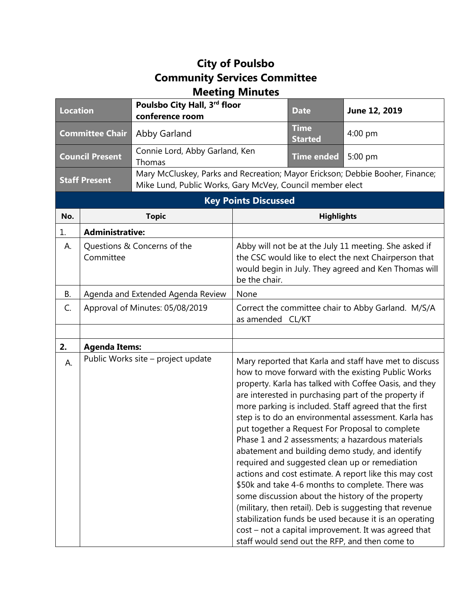## **City of Poulsbo Community Services Committee Meeting Minutes**

| <b>Location</b>        |                                    | Poulsbo City Hall, 3rd floor<br>conference room                                                                                            |                                                                                                                   | <b>Date</b>                   | June 12, 2019                                          |
|------------------------|------------------------------------|--------------------------------------------------------------------------------------------------------------------------------------------|-------------------------------------------------------------------------------------------------------------------|-------------------------------|--------------------------------------------------------|
| <b>Committee Chair</b> |                                    | Abby Garland                                                                                                                               |                                                                                                                   | <b>Time</b><br><b>Started</b> | $4:00$ pm                                              |
| <b>Council Present</b> |                                    | Connie Lord, Abby Garland, Ken<br>Thomas                                                                                                   |                                                                                                                   | <b>Time ended</b>             | 5:00 pm                                                |
| <b>Staff Present</b>   |                                    | Mary McCluskey, Parks and Recreation; Mayor Erickson; Debbie Booher, Finance;<br>Mike Lund, Public Works, Gary McVey, Council member elect |                                                                                                                   |                               |                                                        |
|                        |                                    |                                                                                                                                            | <b>Key Points Discussed</b>                                                                                       |                               |                                                        |
| No.                    | <b>Topic</b>                       |                                                                                                                                            | <b>Highlights</b>                                                                                                 |                               |                                                        |
| 1.                     | <b>Administrative:</b>             |                                                                                                                                            |                                                                                                                   |                               |                                                        |
| А.                     | Questions & Concerns of the        |                                                                                                                                            | Abby will not be at the July 11 meeting. She asked if                                                             |                               |                                                        |
|                        | Committee                          |                                                                                                                                            | the CSC would like to elect the next Chairperson that                                                             |                               |                                                        |
|                        |                                    |                                                                                                                                            | would begin in July. They agreed and Ken Thomas will<br>be the chair.                                             |                               |                                                        |
| В.                     | Agenda and Extended Agenda Review  |                                                                                                                                            | None                                                                                                              |                               |                                                        |
| C.                     | Approval of Minutes: 05/08/2019    |                                                                                                                                            | Correct the committee chair to Abby Garland. M/S/A<br>as amended CL/KT                                            |                               |                                                        |
|                        |                                    |                                                                                                                                            |                                                                                                                   |                               |                                                        |
| 2.                     | <b>Agenda Items:</b>               |                                                                                                                                            |                                                                                                                   |                               |                                                        |
| А.                     | Public Works site - project update |                                                                                                                                            |                                                                                                                   |                               | Mary reported that Karla and staff have met to discuss |
|                        |                                    |                                                                                                                                            | how to move forward with the existing Public Works                                                                |                               |                                                        |
|                        |                                    |                                                                                                                                            | property. Karla has talked with Coffee Oasis, and they                                                            |                               |                                                        |
|                        |                                    |                                                                                                                                            | are interested in purchasing part of the property if<br>more parking is included. Staff agreed that the first     |                               |                                                        |
|                        |                                    |                                                                                                                                            | step is to do an environmental assessment. Karla has                                                              |                               |                                                        |
|                        |                                    |                                                                                                                                            | put together a Request For Proposal to complete                                                                   |                               |                                                        |
|                        |                                    |                                                                                                                                            | Phase 1 and 2 assessments; a hazardous materials                                                                  |                               |                                                        |
|                        |                                    |                                                                                                                                            | abatement and building demo study, and identify<br>required and suggested clean up or remediation                 |                               |                                                        |
|                        |                                    |                                                                                                                                            | actions and cost estimate. A report like this may cost                                                            |                               |                                                        |
|                        |                                    |                                                                                                                                            |                                                                                                                   |                               | \$50k and take 4-6 months to complete. There was       |
|                        |                                    |                                                                                                                                            |                                                                                                                   |                               | some discussion about the history of the property      |
|                        |                                    |                                                                                                                                            | (military, then retail). Deb is suggesting that revenue<br>stabilization funds be used because it is an operating |                               |                                                        |
|                        |                                    |                                                                                                                                            |                                                                                                                   |                               | cost – not a capital improvement. It was agreed that   |
|                        |                                    |                                                                                                                                            | staff would send out the RFP, and then come to                                                                    |                               |                                                        |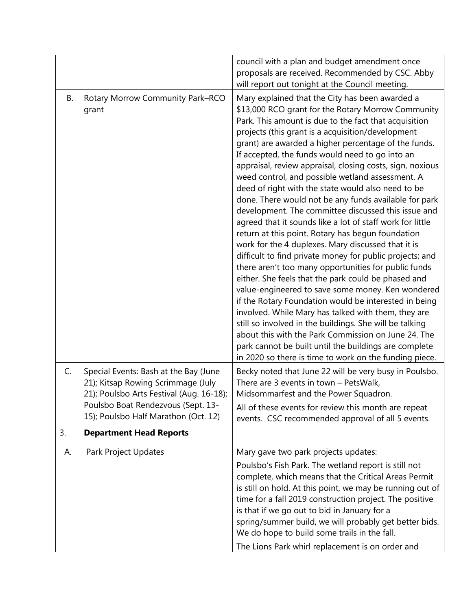|    |                                                                                                                                                                                                       | council with a plan and budget amendment once<br>proposals are received. Recommended by CSC. Abby<br>will report out tonight at the Council meeting.                                                                                                                                                                                                                                                                                                                                                                                                                                                                                                                                                                                                                                                                                                                                                                                                                                                                                                                                                                                                                                                                                                                                                                                                                               |
|----|-------------------------------------------------------------------------------------------------------------------------------------------------------------------------------------------------------|------------------------------------------------------------------------------------------------------------------------------------------------------------------------------------------------------------------------------------------------------------------------------------------------------------------------------------------------------------------------------------------------------------------------------------------------------------------------------------------------------------------------------------------------------------------------------------------------------------------------------------------------------------------------------------------------------------------------------------------------------------------------------------------------------------------------------------------------------------------------------------------------------------------------------------------------------------------------------------------------------------------------------------------------------------------------------------------------------------------------------------------------------------------------------------------------------------------------------------------------------------------------------------------------------------------------------------------------------------------------------------|
| B. | Rotary Morrow Community Park-RCO<br>grant                                                                                                                                                             | Mary explained that the City has been awarded a<br>\$13,000 RCO grant for the Rotary Morrow Community<br>Park. This amount is due to the fact that acquisition<br>projects (this grant is a acquisition/development<br>grant) are awarded a higher percentage of the funds.<br>If accepted, the funds would need to go into an<br>appraisal, review appraisal, closing costs, sign, noxious<br>weed control, and possible wetland assessment. A<br>deed of right with the state would also need to be<br>done. There would not be any funds available for park<br>development. The committee discussed this issue and<br>agreed that it sounds like a lot of staff work for little<br>return at this point. Rotary has begun foundation<br>work for the 4 duplexes. Mary discussed that it is<br>difficult to find private money for public projects; and<br>there aren't too many opportunities for public funds<br>either. She feels that the park could be phased and<br>value-engineered to save some money. Ken wondered<br>if the Rotary Foundation would be interested in being<br>involved. While Mary has talked with them, they are<br>still so involved in the buildings. She will be talking<br>about this with the Park Commission on June 24. The<br>park cannot be built until the buildings are complete<br>in 2020 so there is time to work on the funding piece. |
| C. | Special Events: Bash at the Bay (June<br>21); Kitsap Rowing Scrimmage (July<br>21); Poulsbo Arts Festival (Aug. 16-18);<br>Poulsbo Boat Rendezvous (Sept. 13-<br>15); Poulsbo Half Marathon (Oct. 12) | Becky noted that June 22 will be very busy in Poulsbo.<br>There are 3 events in town - PetsWalk,<br>Midsommarfest and the Power Squadron.<br>All of these events for review this month are repeat<br>events. CSC recommended approval of all 5 events.                                                                                                                                                                                                                                                                                                                                                                                                                                                                                                                                                                                                                                                                                                                                                                                                                                                                                                                                                                                                                                                                                                                             |
| 3. | <b>Department Head Reports</b>                                                                                                                                                                        |                                                                                                                                                                                                                                                                                                                                                                                                                                                                                                                                                                                                                                                                                                                                                                                                                                                                                                                                                                                                                                                                                                                                                                                                                                                                                                                                                                                    |
| А. | Park Project Updates                                                                                                                                                                                  | Mary gave two park projects updates:<br>Poulsbo's Fish Park. The wetland report is still not<br>complete, which means that the Critical Areas Permit<br>is still on hold. At this point, we may be running out of<br>time for a fall 2019 construction project. The positive<br>is that if we go out to bid in January for a<br>spring/summer build, we will probably get better bids.<br>We do hope to build some trails in the fall.<br>The Lions Park whirl replacement is on order and                                                                                                                                                                                                                                                                                                                                                                                                                                                                                                                                                                                                                                                                                                                                                                                                                                                                                         |